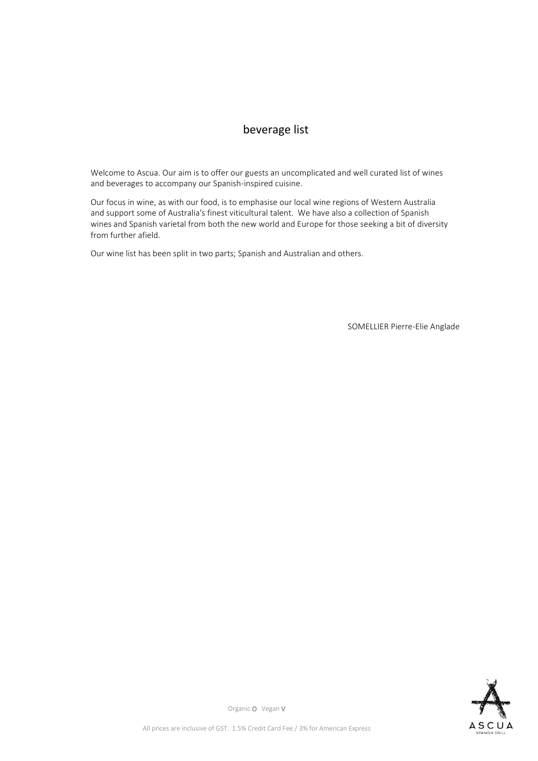## beverage list

Welcome to Ascua. Our aim is to offer our guests an uncomplicated and well curated list of wines and beverages to accompany our Spanish-inspired cuisine.

Our focus in wine, as with our food, is to emphasise our local wine regions of Western Australia and support some of Australia's finest viticultural talent. We have also a collection of Spanish wines and Spanish varietal from both the new world and Europe for those seeking a bit of diversity from further afield.

Our wine list has been split in two parts; Spanish and Australian and others.

SOMELLIER Pierre-Elie Anglade

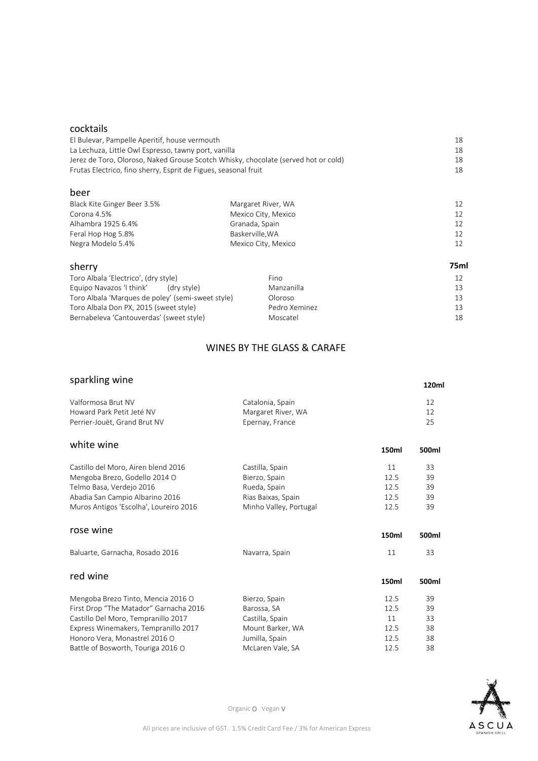#### cocktails

| El Bulevar, Pampelle Aperitif, house vermouth<br>La Lechuza, Little Owl Espresso, tawny port, vanilla<br>Jerez de Toro, Oloroso, Naked Grouse Scotch Whisky, chocolate (served hot or cold)<br>Frutas Electrico, fino sherry, Esprit de Figues, seasonal fruit |                    | 18 |
|----------------------------------------------------------------------------------------------------------------------------------------------------------------------------------------------------------------------------------------------------------------|--------------------|----|
|                                                                                                                                                                                                                                                                |                    | 18 |
|                                                                                                                                                                                                                                                                |                    | 18 |
|                                                                                                                                                                                                                                                                |                    | 18 |
| beer                                                                                                                                                                                                                                                           |                    |    |
| Black Kite Ginger Beer 3.5%                                                                                                                                                                                                                                    | Margaret River, WA | 12 |

| Corona 4.5%        | Mexico City, Mexico |                 |
|--------------------|---------------------|-----------------|
| Alhambra 1925 6.4% | Granada, Spain      |                 |
| Feral Hop Hog 5.8% | Baskerville.WA      | 12 <sup>1</sup> |
| Negra Modelo 5.4%  | Mexico City, Mexico | 12 <sup>1</sup> |
|                    |                     |                 |

| sherry                                            |               | 75ml |
|---------------------------------------------------|---------------|------|
| Toro Albala 'Electrico', (dry style)              | Fino          |      |
| Equipo Navazos 'I think'<br>(dry style)           | Manzanilla    |      |
| Toro Albala 'Marques de poley' (semi-sweet style) | Oloroso       |      |
| Toro Albala Don PX, 2015 (sweet style)            | Pedro Xeminez |      |
| Bernabeleva 'Cantouverdas' (sweet style)          | Moscatel      | 18   |

### WINES BY THE GLASS & CARAFE

### sparkling wine

| sparkling wine     |    |  |
|--------------------|----|--|
| Catalonia, Spain   | 12 |  |
| Margaret River, WA | 12 |  |
| Epernay, France    | 25 |  |
|                    |    |  |

# white wine **150ml 150ml 150ml**

| Castillo del Moro, Airen blend 2016    | Castilla, Spain        | 11    | 33    |
|----------------------------------------|------------------------|-------|-------|
| Mengoba Brezo, Godello 2014 O          | Bierzo, Spain          | 12.5  | 39    |
| Telmo Basa, Verdejo 2016               | Rueda, Spain           | 12.5  | 39    |
| Abadia San Campio Albarino 2016        | Rias Baixas, Spain     | 12.5  | 39    |
| Muros Antigos 'Escolha', Loureiro 2016 | Minho Valley, Portugal | 12.5  | 39    |
| rose wine                              |                        |       |       |
|                                        |                        | 150ml | 500ml |
| Baluarte, Garnacha, Rosado 2016        | Navarra, Spain         | 11    | 33    |
| red wine                               |                        |       |       |
|                                        |                        | 150ml | 500ml |
| Mengoba Brezo Tinto, Mencia 2016 O     | Bierzo, Spain          | 12.5  | 39    |
| First Drop "The Matador" Garnacha 2016 | Barossa, SA            | 12.5  | 39    |
| Castillo Del Moro, Tempranillo 2017    | Castilla, Spain        | 11    | 33    |
| Express Winemakers, Tempranillo 2017   | Mount Barker, WA       | 12.5  | 38    |
| Honoro Vera, Monastrel 2016 O          | Jumilla, Spain         | 12.5  | 38    |
| Battle of Bosworth, Touriga 2016 O     | McLaren Vale, SA       | 12.5  | 38    |



Organic O Vegan V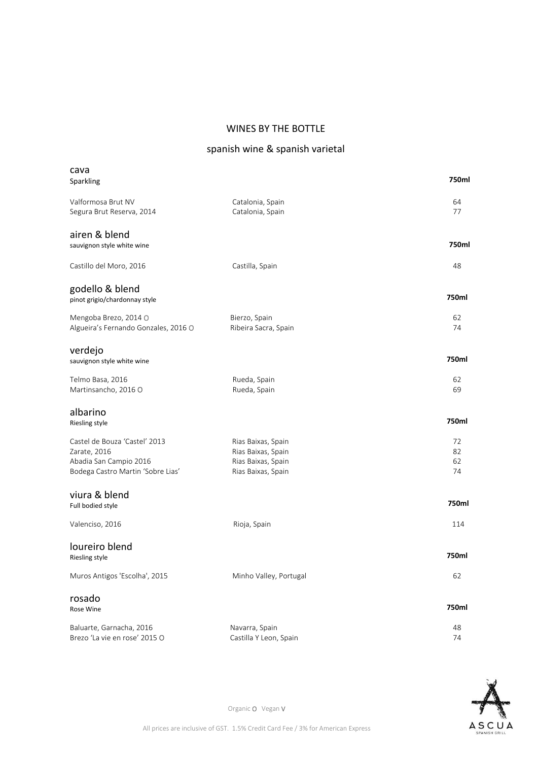#### WINES BY THE BOTTLE

# spanish wine & spanish varietal

| cava<br>Sparkling                                                                                            |                                                                                      | 750ml                |
|--------------------------------------------------------------------------------------------------------------|--------------------------------------------------------------------------------------|----------------------|
| Valformosa Brut NV<br>Segura Brut Reserva, 2014                                                              | Catalonia, Spain<br>Catalonia, Spain                                                 | 64<br>77             |
| airen & blend<br>sauvignon style white wine                                                                  |                                                                                      | 750ml                |
| Castillo del Moro, 2016                                                                                      | Castilla, Spain                                                                      | 48                   |
| godello & blend<br>pinot grigio/chardonnay style                                                             |                                                                                      | 750ml                |
| Mengoba Brezo, 2014 O<br>Algueira's Fernando Gonzales, 2016 O                                                | Bierzo, Spain<br>Ribeira Sacra, Spain                                                | 62<br>74             |
| verdejo<br>sauvignon style white wine                                                                        |                                                                                      | 750ml                |
| Telmo Basa, 2016<br>Martinsancho, 2016 O                                                                     | Rueda, Spain<br>Rueda, Spain                                                         | 62<br>69             |
| albarino<br>Riesling style                                                                                   |                                                                                      | 750ml                |
| Castel de Bouza 'Castel' 2013<br>Zarate, 2016<br>Abadia San Campio 2016<br>Bodega Castro Martin 'Sobre Lias' | Rias Baixas, Spain<br>Rias Baixas, Spain<br>Rias Baixas, Spain<br>Rias Baixas, Spain | 72<br>82<br>62<br>74 |
| viura & blend<br>Full bodied style                                                                           |                                                                                      | 750ml                |
| Valenciso, 2016                                                                                              | Rioja, Spain                                                                         | 114                  |
| loureiro blend<br>Riesling style                                                                             |                                                                                      | 750ml                |
| Muros Antigos 'Escolha', 2015                                                                                | Minho Valley, Portugal                                                               | 62                   |
| rosado<br>Rose Wine                                                                                          |                                                                                      | 750ml                |
| Baluarte, Garnacha, 2016<br>Brezo 'La vie en rose' 2015 O                                                    | Navarra, Spain<br>Castilla Y Leon, Spain                                             | 48<br>74             |

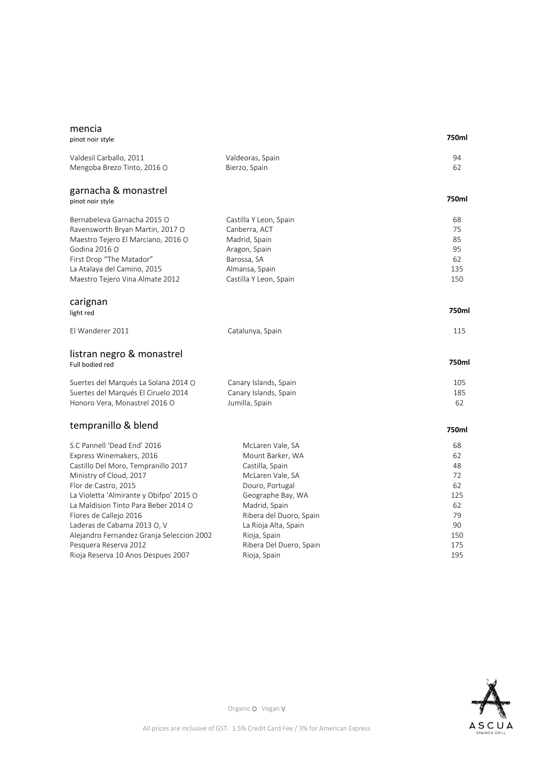#### mencia

#### **750ml**

| pinot noir style                          |                         | 750ml |
|-------------------------------------------|-------------------------|-------|
| Valdesil Carballo, 2011                   | Valdeoras, Spain        | 94    |
| Mengoba Brezo Tinto, 2016 O               | Bierzo, Spain           | 62    |
| garnacha & monastrel<br>pinot noir style  |                         | 750ml |
|                                           |                         |       |
| Bernabeleva Garnacha 2015 O               | Castilla Y Leon, Spain  | 68    |
| Ravensworth Bryan Martin, 2017 O          | Canberra, ACT           | 75    |
| Maestro Tejero El Marciano, 2016 O        | Madrid, Spain           | 85    |
| Godina 2016 O                             | Aragon, Spain           | 95    |
| First Drop "The Matador"                  | Barossa, SA             | 62    |
| La Atalaya del Camino, 2015               | Almansa, Spain          | 135   |
| Maestro Tejero Vina Almate 2012           | Castilla Y Leon, Spain  | 150   |
| carignan                                  |                         | 750ml |
| light red                                 |                         |       |
| El Wanderer 2011                          | Catalunya, Spain        | 115   |
| listran negro & monastrel                 |                         |       |
| Full bodied red                           |                         | 750ml |
| Suertes del Marqués La Solana 2014 O      | Canary Islands, Spain   | 105   |
| Suertes del Marqués El Ciruelo 2014       | Canary Islands, Spain   | 185   |
| Honoro Vera, Monastrel 2016 O             | Jumilla, Spain          | 62    |
| tempranillo & blend                       |                         | 750ml |
| S.C Pannell 'Dead End' 2016               | McLaren Vale, SA        | 68    |
| Express Winemakers, 2016                  | Mount Barker, WA        | 62    |
| Castillo Del Moro, Tempranillo 2017       | Castilla, Spain         | 48    |
| Ministry of Cloud, 2017                   | McLaren Vale, SA        | 72    |
| Flor de Castro, 2015                      | Douro, Portugal         | 62    |
| La Violetta 'Almirante y Obifpo' 2015 O   | Geographe Bay, WA       | 125   |
| La Maldision Tinto Para Beber 2014 O      | Madrid, Spain           | 62    |
| Flores de Callejo 2016                    | Ribera del Duoro, Spain | 79    |
| Laderas de Cabama 2013 O, V               | La Rioja Alta, Spain    | 90    |
| Alejandro Fernandez Granja Seleccion 2002 | Rioja, Spain            | 150   |
| Pesquera Reserva 2012                     | Ribera Del Duero, Spain | 175   |
| Rioja Reserva 10 Anos Despues 2007        | Rioja, Spain            | 195   |

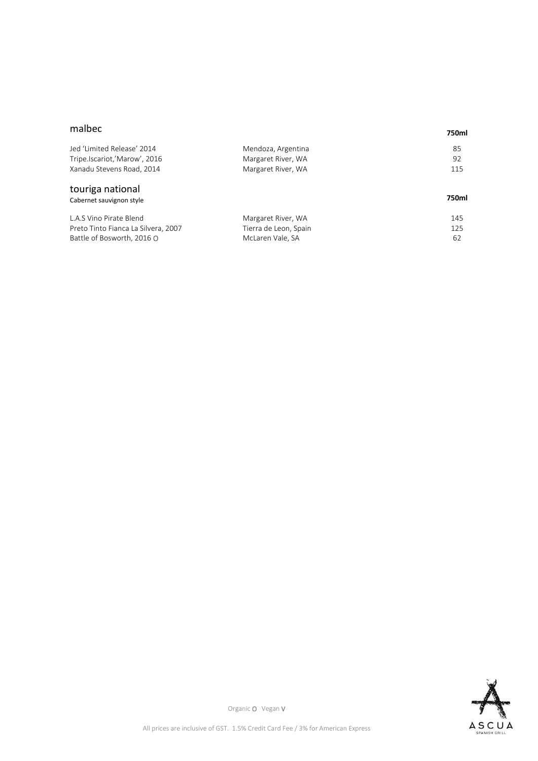#### malbec

#### **750ml**

| Jed 'Limited Release' 2014          | Mendoza, Argentina    | 85    |
|-------------------------------------|-----------------------|-------|
| Tripe.Iscariot,'Marow', 2016        | Margaret River, WA    | 92    |
| Xanadu Stevens Road, 2014           | Margaret River, WA    | 115   |
| touriga national                    |                       |       |
| Cabernet sauvignon style            |                       | 750ml |
| L.A.S Vino Pirate Blend             | Margaret River, WA    | 145   |
| Preto Tinto Fianca La Silvera, 2007 | Tierra de Leon, Spain | 125   |
| Battle of Bosworth, 2016 O          | McLaren Vale, SA      | 62    |
|                                     |                       |       |

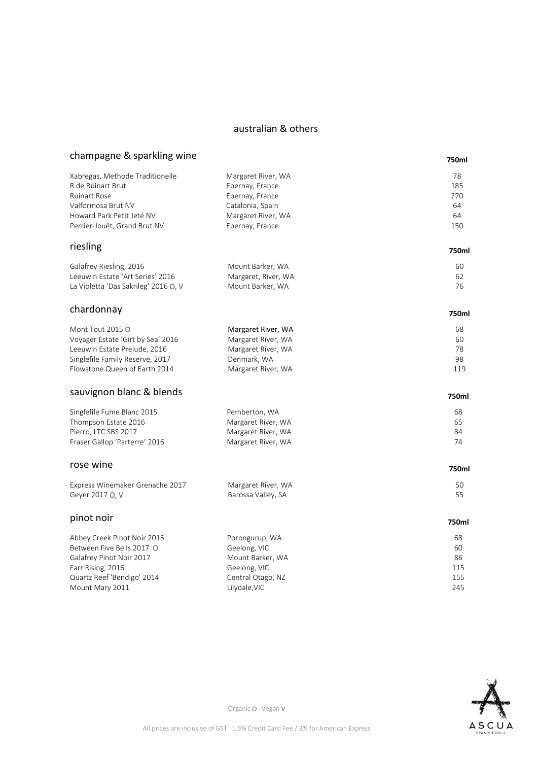#### australian & others

## champagne & sparkling wine

### **750ml**

| Xabregas, Methode Traditionelle      | Margaret River, WA  | 78    |
|--------------------------------------|---------------------|-------|
| R de Ruinart Brut                    | Epernay, France     | 185   |
| <b>Ruinart Rose</b>                  | Epernay, France     | 270   |
| Valformosa Brut NV                   | Catalonia, Spain    | 64    |
| Howard Park Petit Jeté NV            | Margaret River, WA  | 64    |
| Perrier-Jouët, Grand Brut NV         | Epernay, France     | 150   |
| riesling                             |                     | 750ml |
|                                      |                     |       |
| Galafrey Riesling, 2016              | Mount Barker, WA    | 60    |
| Leeuwin Estate 'Art Series' 2016     | Margaret, River, WA | 62    |
| La Violetta 'Das Sakrileg' 2016 O, V | Mount Barker, WA    | 76    |
| chardonnay                           |                     | 750ml |
| Mont Tout 2015 O                     | Margaret River, WA  | 68    |
| Voyager Estate 'Girt by Sea' 2016    | Margaret River, WA  | 60    |
| Leeuwin Estate Prelude, 2016         | Margaret River, WA  | 78    |
| Singlefile Family Reserve, 2017      | Denmark, WA         | 98    |
| Flowstone Queen of Earth 2014        | Margaret River, WA  | 119   |
|                                      |                     |       |
| sauvignon blanc & blends             |                     | 750ml |
| Singlefile Fume Blanc 2015           | Pemberton, WA       | 68    |
| Thompson Estate 2016                 | Margaret River, WA  | 65    |
| Pierro, LTC SBS 2017                 | Margaret River, WA  | 84    |
| Fraser Gallop 'Parterre' 2016        | Margaret River, WA  | 74    |
| rose wine                            |                     | 750ml |
|                                      |                     |       |
| Express Winemaker Grenache 2017      | Margaret River, WA  | 50    |
| Geyer 2017 O, V                      | Barossa Valley, SA  | 55    |
| pinot noir                           |                     | 750ml |
| Abbey Creek Pinot Noir 2015          | Porongurup, WA      | 68    |
| Between Five Bells 2017 O            | Geelong, VIC        | 60    |
| Galafrey Pinot Noir 2017             | Mount Barker, WA    | 86    |
| Farr Rising, 2016                    | Geelong, VIC        | 115   |
| Quartz Reef 'Bendigo' 2014           | Central Otago, NZ   | 155   |
| Mount Mary 2011                      | Lilydale, VIC       | 245   |